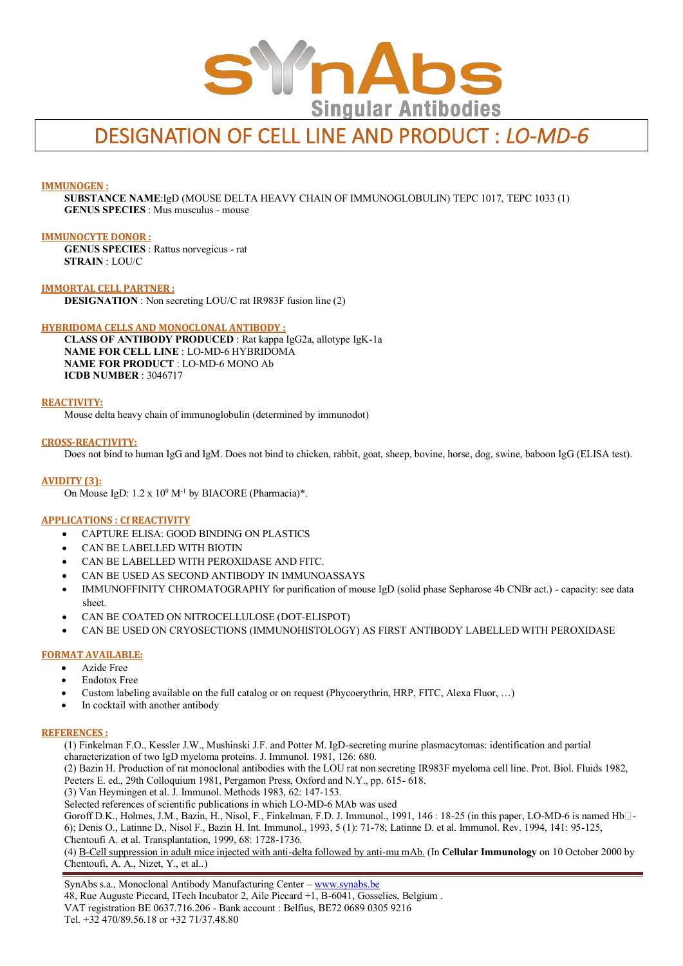

# DESIGNATION OF CELL LINE AND PRODUCT : *LO-MD-6*

## **IMMUNOGEN :**

**SUBSTANCE NAME**:IgD (MOUSE DELTA HEAVY CHAIN OF IMMUNOGLOBULIN) TEPC 1017, TEPC 1033 (1) **GENUS SPECIES** : Mus musculus - mouse

#### **IMMUNOCYTE DONOR :**

**GENUS SPECIES** : Rattus norvegicus - rat **STRAIN** : LOU/C

**IMMORTAL CELL PARTNER : DESIGNATION** : Non secreting LOU/C rat IR983F fusion line (2)

## **HYBRIDOMA CELLS AND MONOCLONAL ANTIBODY :**

**CLASS OF ANTIBODY PRODUCED** : Rat kappa IgG2a, allotype IgK-1a **NAME FOR CELL LINE** : LO-MD-6 HYBRIDOMA **NAME FOR PRODUCT** : LO-MD-6 MONO Ab **ICDB NUMBER** : 3046717

#### **REACTIVITY:**

Mouse delta heavy chain of immunoglobulin (determined by immunodot)

#### **CROSS-REACTIVITY:**

Does not bind to human IgG and IgM. Does not bind to chicken, rabbit, goat, sheep, bovine, horse, dog, swine, baboon IgG (ELISA test).

#### **AVIDITY (3):**

On Mouse IgD: 1.2 x 10<sup>9</sup> M<sup>-1</sup> by BIACORE (Pharmacia)\*.

#### **APPLICATIONS : Cf REACTIVITY**

- CAPTURE ELISA: GOOD BINDING ON PLASTICS
- CAN BE LABELLED WITH BIOTIN
- CAN BE LABELLED WITH PEROXIDASE AND FITC.
- CAN BE USED AS SECOND ANTIBODY IN IMMUNOASSAYS
- IMMUNOFFINITY CHROMATOGRAPHY for purification of mouse IgD (solid phase Sepharose 4b CNBr act.) capacity: see data sheet.
- CAN BE COATED ON NITROCELLULOSE (DOT-ELISPOT)
- CAN BE USED ON CRYOSECTIONS (IMMUNOHISTOLOGY) AS FIRST ANTIBODY LABELLED WITH PEROXIDASE

## **FORMAT AVAILABLE:**

- Azide Free
- Endotox Free
- Custom labeling available on the full catalog or on request (Phycoerythrin, HRP, FITC, Alexa Fluor, …)
- In cocktail with another antibody

## **REFERENCES :**

(1) Finkelman F.O., Kessler J.W., Mushinski J.F. and Potter M. IgD-secreting murine plasmacytomas: identification and partial characterization of two IgD myeloma proteins. J. Immunol. 1981, 126: 680.

(2) Bazin H. Production of rat monoclonal antibodies with the LOU rat non secreting IR983F myeloma cell line. Prot. Biol. Fluids 1982, Peeters E. ed., 29th Colloquium 1981, Pergamon Press, Oxford and N.Y., pp. 615- 618.

(3) Van Heymingen et al. J. Immunol. Methods 1983, 62: 147-153.

Selected references of scientific publications in which LO-MD-6 MAb was used

Goroff D.K., Holmes, J.M., Bazin, H., Nisol, F., Finkelman, F.D. J. Immunol., 1991, 146 : 18-25 (in this paper, LO-MD-6 is named Hb $\Box$ -6); Denis O., Latinne D., Nisol F., Bazin H. Int. Immunol., 1993, 5 (1): 71-78; Latinne D. et al. Immunol. Rev. 1994, 141: 95-125, Chentoufi A. et al. Transplantation, 1999, 68: 1728-1736.

(4) B-Cell suppression in adult mice injected with anti-delta followed by anti-mu mAb. (In **Cellular Immunology** on 10 October 2000 by Chentoufi, A. A., Nizet, Y., et al..)

SynAbs s.a., Monoclonal Antibody Manufacturing Center - www.synabs.be 48, Rue Auguste Piccard, ITech Incubator 2, Aile Piccard +1, B-6041, Gosselies, Belgium . VAT registration BE 0637.716.206 - Bank account : Belfius, BE72 0689 0305 9216 Tel. +32 470/89.56.18 or +32 71/37.48.80